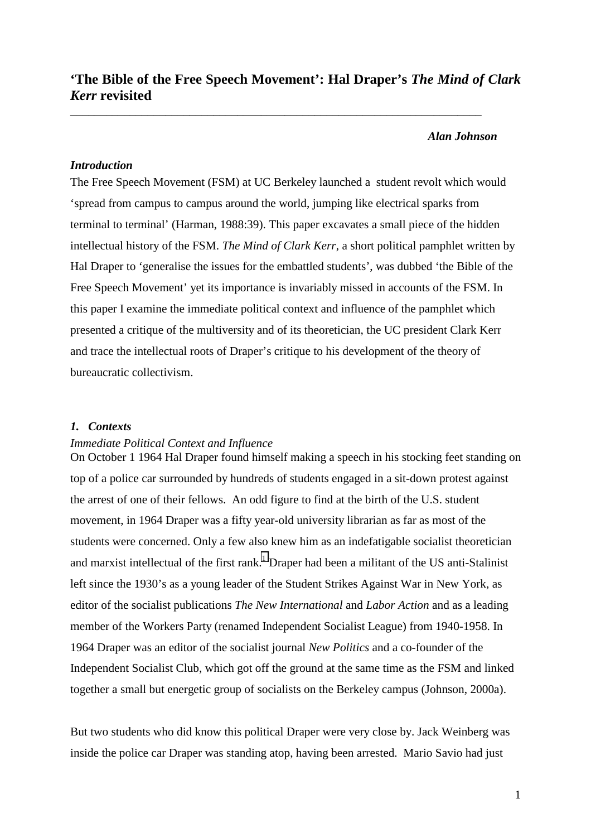# **'The Bible of the Free Speech Movement': Hal Draper's** *The Mind of Clark Kerr* **revisited**

\_\_\_\_\_\_\_\_\_\_\_\_\_\_\_\_\_\_\_\_\_\_\_\_\_\_\_\_\_\_\_\_\_\_\_\_\_\_\_\_\_\_\_\_\_\_\_\_\_\_\_\_\_\_\_\_\_\_\_\_\_\_\_\_\_\_\_\_\_

#### *Alan Johnson*

# *Introduction*

The Free Speech Movement (FSM) at UC Berkeley launched a student revolt which would 'spread from campus to campus around the world, jumping like electrical sparks from terminal to terminal' (Harman, 1988:39). This paper excavates a small piece of the hidden intellectual history of the FSM. *The Mind of Clark Kerr*, a short political pamphlet written by Hal Draper to 'generalise the issues for the embattled students', was dubbed 'the Bible of the Free Speech Movement' yet its importance is invariably missed in accounts of the FSM. In this paper I examine the immediate political context and influence of the pamphlet which presented a critique of the multiversity and of its theoretician, the UC president Clark Kerr and trace the intellectual roots of Draper's critique to his development of the theory of bureaucratic collectivism.

## *1. Contexts*

#### *Immediate Political Context and Influence*

On October 1 1964 Hal Draper found himself making a speech in his stocking feet standing on top of a police car surrounded by hundreds of students engaged in a sit-down protest against the arrest of one of their fellows. An odd figure to find at the birth of the U.S. student movement, in 1964 Draper was a fifty year-old university librarian as far as most of the students were concerned. Only a few also knew him as an indefatigable socialist theoretician and marxist intellectual of the first rank.<sup>1</sup> Draper had been a militant of the US anti-Stalinist left since the 1930's as a young leader of the Student Strikes Against War in New York, as editor of the socialist publications *The New International* and *Labor Action* and as a leading member of the Workers Party (renamed Independent Socialist League) from 1940-1958. In 1964 Draper was an editor of the socialist journal *New Politics* and a co-founder of the Independent Socialist Club, which got off the ground at the same time as the FSM and linked together a small but energetic group of socialists on the Berkeley campus (Johnson, 2000a).

But two students who did know this political Draper were very close by. Jack Weinberg was inside the police car Draper was standing atop, having been arrested. Mario Savio had just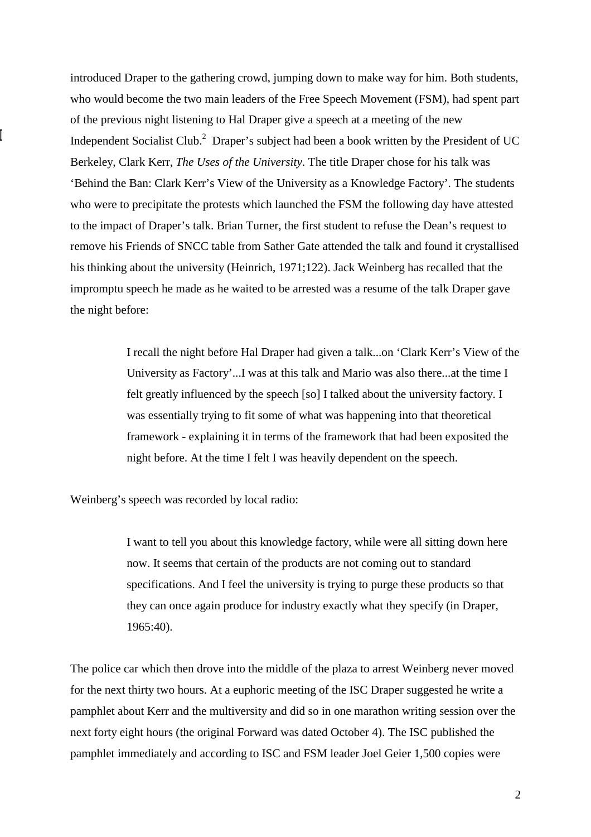introduced Draper to the gathering crowd, jumping down to make way for him. Both students, who would become the two main leaders of the Free Speech Movement (FSM), had spent part of the previous night listening to Hal Draper give a speech at a meeting of the new Independent Socialist Club.<sup>2</sup> Draper's subject had been a book written by the President of UC Berkeley, Clark Kerr, *The Uses of the University*. The title Draper chose for his talk was 'Behind the Ban: Clark Kerr's View of the University as a Knowledge Factory'. The students who were to precipitate the protests which launched the FSM the following day have attested to the impact of Draper's talk. Brian Turner, the first student to refuse the Dean's request to remove his Friends of SNCC table from Sather Gate attended the talk and found it crystallised his thinking about the university (Heinrich, 1971;122). Jack Weinberg has recalled that the impromptu speech he made as he waited to be arrested was a resume of the talk Draper gave the night before:

> I recall the night before Hal Draper had given a talk...on 'Clark Kerr's View of the University as Factory'...I was at this talk and Mario was also there...at the time I felt greatly influenced by the speech [so] I talked about the university factory. I was essentially trying to fit some of what was happening into that theoretical framework - explaining it in terms of the framework that had been exposited the night before. At the time I felt I was heavily dependent on the speech.

Weinberg's speech was recorded by local radio:

I want to tell you about this knowledge factory, while were all sitting down here now. It seems that certain of the products are not coming out to standard specifications. And I feel the university is trying to purge these products so that they can once again produce for industry exactly what they specify (in Draper, 1965:40).

The police car which then drove into the middle of the plaza to arrest Weinberg never moved for the next thirty two hours. At a euphoric meeting of the ISC Draper suggested he write a pamphlet about Kerr and the multiversity and did so in one marathon writing session over the next forty eight hours (the original Forward was dated October 4). The ISC published the pamphlet immediately and according to ISC and FSM leader Joel Geier 1,500 copies were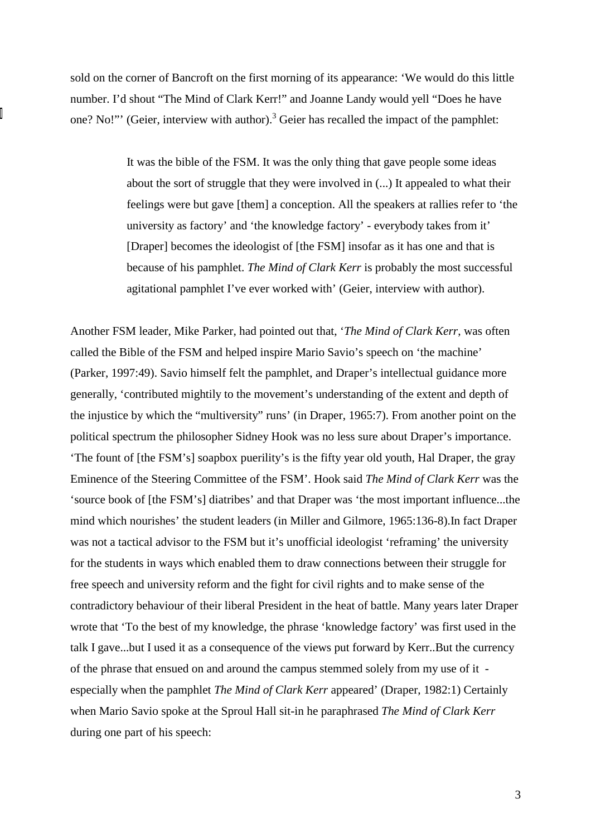sold on the corner of Bancroft on the first morning of its appearance: 'We would do this little number. I'd shout "The Mind of Clark Kerr!" and Joanne Landy would yell "Does he have one? No!"' (Geier, interview with author).<sup>3</sup> Geier has recalled the impact of the pamphlet:

> It was the bible of the FSM. It was the only thing that gave people some ideas about the sort of struggle that they were involved in (...) It appealed to what their feelings were but gave [them] a conception. All the speakers at rallies refer to 'the university as factory' and 'the knowledge factory' - everybody takes from it' [Draper] becomes the ideologist of [the FSM] insofar as it has one and that is because of his pamphlet. *The Mind of Clark Kerr* is probably the most successful agitational pamphlet I've ever worked with' (Geier, interview with author).

Another FSM leader, Mike Parker, had pointed out that, '*The Mind of Clark Kerr*, was often called the Bible of the FSM and helped inspire Mario Savio's speech on 'the machine' (Parker, 1997:49). Savio himself felt the pamphlet, and Draper's intellectual guidance more generally, 'contributed mightily to the movement's understanding of the extent and depth of the injustice by which the "multiversity" runs' (in Draper, 1965:7). From another point on the political spectrum the philosopher Sidney Hook was no less sure about Draper's importance. 'The fount of [the FSM's] soapbox puerility's is the fifty year old youth, Hal Draper, the gray Eminence of the Steering Committee of the FSM'. Hook said *The Mind of Clark Kerr* was the 'source book of [the FSM's] diatribes' and that Draper was 'the most important influence...the mind which nourishes' the student leaders (in Miller and Gilmore, 1965:136-8).In fact Draper was not a tactical advisor to the FSM but it's unofficial ideologist 'reframing' the university for the students in ways which enabled them to draw connections between their struggle for free speech and university reform and the fight for civil rights and to make sense of the contradictory behaviour of their liberal President in the heat of battle. Many years later Draper wrote that 'To the best of my knowledge, the phrase 'knowledge factory' was first used in the talk I gave...but I used it as a consequence of the views put forward by Kerr..But the currency of the phrase that ensued on and around the campus stemmed solely from my use of it especially when the pamphlet *The Mind of Clark Kerr* appeared' (Draper, 1982:1) Certainly when Mario Savio spoke at the Sproul Hall sit-in he paraphrased *The Mind of Clark Kerr* during one part of his speech: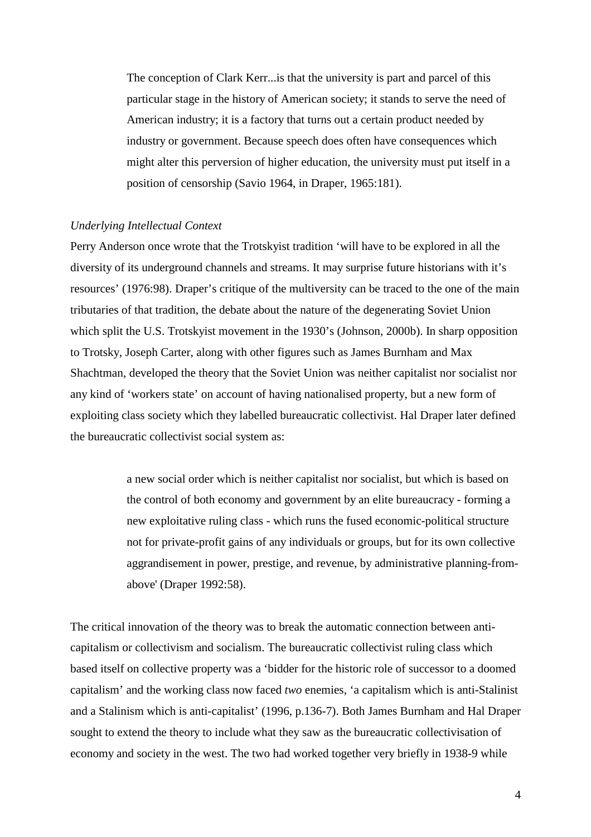The conception of Clark Kerr...is that the university is part and parcel of this particular stage in the history of American society; it stands to serve the need of American industry; it is a factory that turns out a certain product needed by industry or government. Because speech does often have consequences which might alter this perversion of higher education, the university must put itself in a position of censorship (Savio 1964, in Draper, 1965:181).

#### *Underlying Intellectual Context*

Perry Anderson once wrote that the Trotskyist tradition 'will have to be explored in all the diversity of its underground channels and streams. It may surprise future historians with it's resources' (1976:98). Draper's critique of the multiversity can be traced to the one of the main tributaries of that tradition, the debate about the nature of the degenerating Soviet Union which split the U.S. Trotskyist movement in the 1930's (Johnson, 2000b). In sharp opposition to Trotsky, Joseph Carter, along with other figures such as James Burnham and Max Shachtman, developed the theory that the Soviet Union was neither capitalist nor socialist nor any kind of 'workers state' on account of having nationalised property, but a new form of exploiting class society which they labelled bureaucratic collectivist. Hal Draper later defined the bureaucratic collectivist social system as:

> a new social order which is neither capitalist nor socialist, but which is based on the control of both economy and government by an elite bureaucracy - forming a new exploitative ruling class - which runs the fused economic-political structure not for private-profit gains of any individuals or groups, but for its own collective aggrandisement in power, prestige, and revenue, by administrative planning-fromabove' (Draper 1992:58).

The critical innovation of the theory was to break the automatic connection between anticapitalism or collectivism and socialism. The bureaucratic collectivist ruling class which based itself on collective property was a 'bidder for the historic role of successor to a doomed capitalism' and the working class now faced *two* enemies, 'a capitalism which is anti-Stalinist and a Stalinism which is anti-capitalist' (1996, p.136-7). Both James Burnham and Hal Draper sought to extend the theory to include what they saw as the bureaucratic collectivisation of economy and society in the west. The two had worked together very briefly in 1938-9 while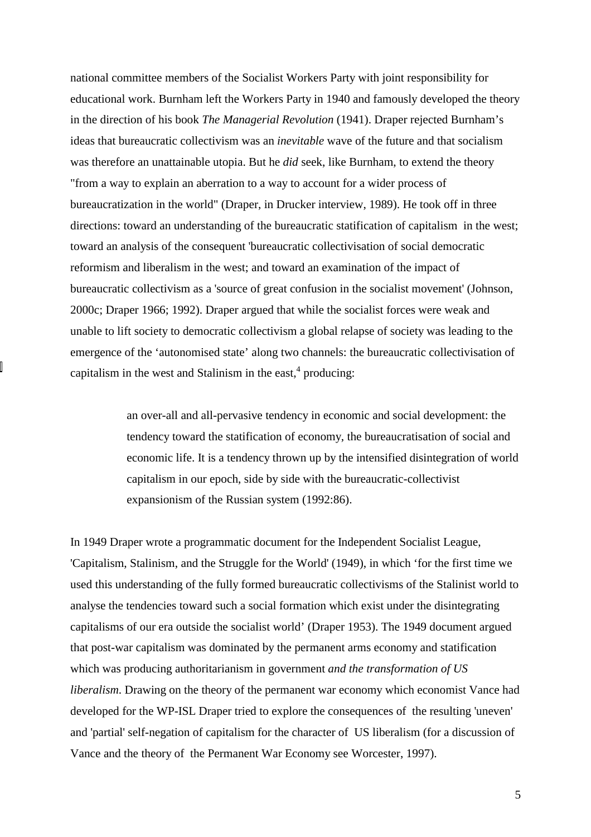national committee members of the Socialist Workers Party with joint responsibility for educational work. Burnham left the Workers Party in 1940 and famously developed the theory in the direction of his book *The Managerial Revolution* (1941). Draper rejected Burnham's ideas that bureaucratic collectivism was an *inevitable* wave of the future and that socialism was therefore an unattainable utopia. But he *did* seek, like Burnham, to extend the theory "from a way to explain an aberration to a way to account for a wider process of bureaucratization in the world" (Draper, in Drucker interview, 1989). He took off in three directions: toward an understanding of the bureaucratic statification of capitalism in the west; toward an analysis of the consequent 'bureaucratic collectivisation of social democratic reformism and liberalism in the west; and toward an examination of the impact of bureaucratic collectivism as a 'source of great confusion in the socialist movement' (Johnson, 2000c; Draper 1966; 1992). Draper argued that while the socialist forces were weak and unable to lift society to democratic collectivism a global relapse of society was leading to the emergence of the 'autonomised state' along two channels: the bureaucratic collectivisation of capitalism in the west and Stalinism in the east, $4$  producing:

> an over-all and all-pervasive tendency in economic and social development: the tendency toward the statification of economy, the bureaucratisation of social and economic life. It is a tendency thrown up by the intensified disintegration of world capitalism in our epoch, side by side with the bureaucratic-collectivist expansionism of the Russian system (1992:86).

In 1949 Draper wrote a programmatic document for the Independent Socialist League, 'Capitalism, Stalinism, and the Struggle for the World' (1949), in which 'for the first time we used this understanding of the fully formed bureaucratic collectivisms of the Stalinist world to analyse the tendencies toward such a social formation which exist under the disintegrating capitalisms of our era outside the socialist world' (Draper 1953). The 1949 document argued that post-war capitalism was dominated by the permanent arms economy and statification which was producing authoritarianism in government *and the transformation of US liberalism*. Drawing on the theory of the permanent war economy which economist Vance had developed for the WP-ISL Draper tried to explore the consequences of the resulting 'uneven' and 'partial' self-negation of capitalism for the character of US liberalism (for a discussion of Vance and the theory of the Permanent War Economy see Worcester, 1997).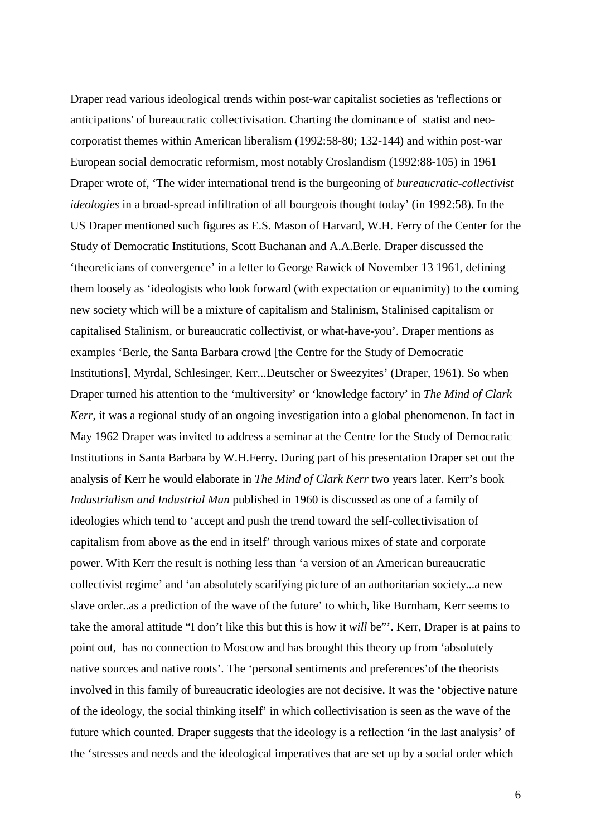Draper read various ideological trends within post-war capitalist societies as 'reflections or anticipations' of bureaucratic collectivisation. Charting the dominance of statist and neocorporatist themes within American liberalism (1992:58-80; 132-144) and within post-war European social democratic reformism, most notably Croslandism (1992:88-105) in 1961 Draper wrote of, 'The wider international trend is the burgeoning of *bureaucratic-collectivist ideologies* in a broad-spread infiltration of all bourgeois thought today' (in 1992:58). In the US Draper mentioned such figures as E.S. Mason of Harvard, W.H. Ferry of the Center for the Study of Democratic Institutions, Scott Buchanan and A.A.Berle. Draper discussed the 'theoreticians of convergence' in a letter to George Rawick of November 13 1961, defining them loosely as 'ideologists who look forward (with expectation or equanimity) to the coming new society which will be a mixture of capitalism and Stalinism, Stalinised capitalism or capitalised Stalinism, or bureaucratic collectivist, or what-have-you'. Draper mentions as examples 'Berle, the Santa Barbara crowd [the Centre for the Study of Democratic Institutions], Myrdal, Schlesinger, Kerr...Deutscher or Sweezyites' (Draper, 1961). So when Draper turned his attention to the 'multiversity' or 'knowledge factory' in *The Mind of Clark Kerr*, it was a regional study of an ongoing investigation into a global phenomenon. In fact in May 1962 Draper was invited to address a seminar at the Centre for the Study of Democratic Institutions in Santa Barbara by W.H.Ferry. During part of his presentation Draper set out the analysis of Kerr he would elaborate in *The Mind of Clark Kerr* two years later. Kerr's book *Industrialism and Industrial Man* published in 1960 is discussed as one of a family of ideologies which tend to 'accept and push the trend toward the self-collectivisation of capitalism from above as the end in itself' through various mixes of state and corporate power. With Kerr the result is nothing less than 'a version of an American bureaucratic collectivist regime' and 'an absolutely scarifying picture of an authoritarian society...a new slave order..as a prediction of the wave of the future' to which, like Burnham, Kerr seems to take the amoral attitude "I don't like this but this is how it *will* be"'. Kerr, Draper is at pains to point out, has no connection to Moscow and has brought this theory up from 'absolutely native sources and native roots'. The 'personal sentiments and preferences'of the theorists involved in this family of bureaucratic ideologies are not decisive. It was the 'objective nature of the ideology, the social thinking itself' in which collectivisation is seen as the wave of the future which counted. Draper suggests that the ideology is a reflection 'in the last analysis' of the 'stresses and needs and the ideological imperatives that are set up by a social order which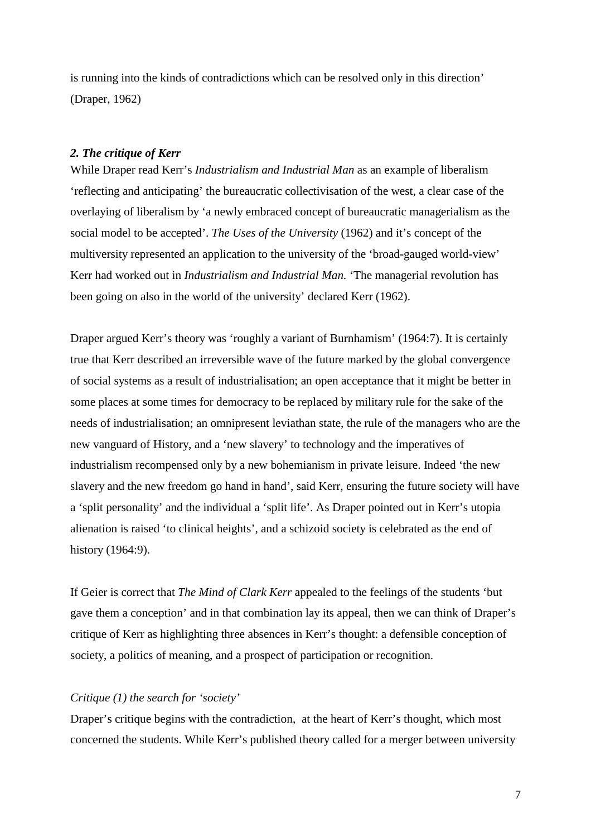is running into the kinds of contradictions which can be resolved only in this direction' (Draper, 1962)

# *2. The critique of Kerr*

While Draper read Kerr's *Industrialism and Industrial Man* as an example of liberalism 'reflecting and anticipating' the bureaucratic collectivisation of the west, a clear case of the overlaying of liberalism by 'a newly embraced concept of bureaucratic managerialism as the social model to be accepted'. *The Uses of the University* (1962) and it's concept of the multiversity represented an application to the university of the 'broad-gauged world-view' Kerr had worked out in *Industrialism and Industrial Man.* 'The managerial revolution has been going on also in the world of the university' declared Kerr (1962).

Draper argued Kerr's theory was 'roughly a variant of Burnhamism' (1964:7). It is certainly true that Kerr described an irreversible wave of the future marked by the global convergence of social systems as a result of industrialisation; an open acceptance that it might be better in some places at some times for democracy to be replaced by military rule for the sake of the needs of industrialisation; an omnipresent leviathan state, the rule of the managers who are the new vanguard of History, and a 'new slavery' to technology and the imperatives of industrialism recompensed only by a new bohemianism in private leisure. Indeed 'the new slavery and the new freedom go hand in hand', said Kerr, ensuring the future society will have a 'split personality' and the individual a 'split life'. As Draper pointed out in Kerr's utopia alienation is raised 'to clinical heights', and a schizoid society is celebrated as the end of history (1964:9).

If Geier is correct that *The Mind of Clark Kerr* appealed to the feelings of the students 'but gave them a conception' and in that combination lay its appeal, then we can think of Draper's critique of Kerr as highlighting three absences in Kerr's thought: a defensible conception of society, a politics of meaning, and a prospect of participation or recognition.

## *Critique (1) the search for 'society'*

Draper's critique begins with the contradiction, at the heart of Kerr's thought, which most concerned the students. While Kerr's published theory called for a merger between university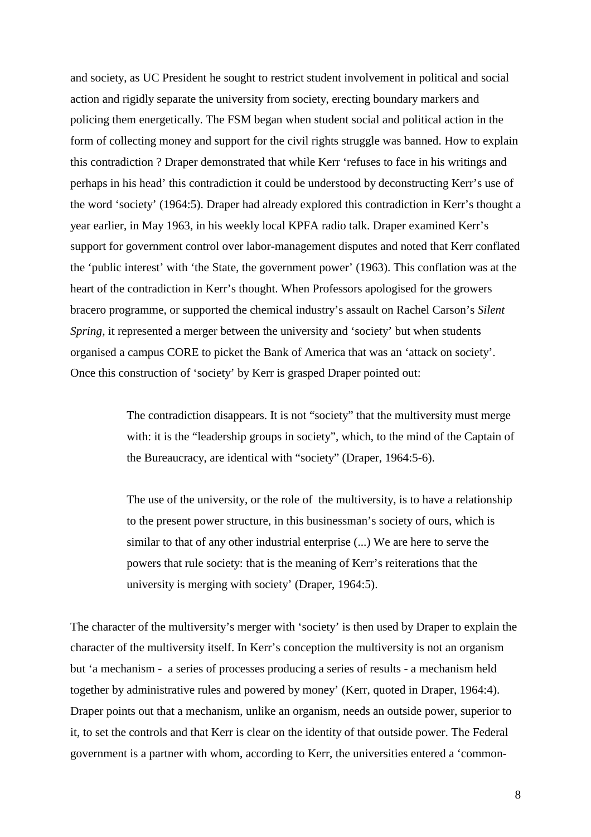and society, as UC President he sought to restrict student involvement in political and social action and rigidly separate the university from society, erecting boundary markers and policing them energetically. The FSM began when student social and political action in the form of collecting money and support for the civil rights struggle was banned. How to explain this contradiction ? Draper demonstrated that while Kerr 'refuses to face in his writings and perhaps in his head' this contradiction it could be understood by deconstructing Kerr's use of the word 'society' (1964:5). Draper had already explored this contradiction in Kerr's thought a year earlier, in May 1963, in his weekly local KPFA radio talk. Draper examined Kerr's support for government control over labor-management disputes and noted that Kerr conflated the 'public interest' with 'the State, the government power' (1963). This conflation was at the heart of the contradiction in Kerr's thought. When Professors apologised for the growers bracero programme, or supported the chemical industry's assault on Rachel Carson's *Silent Spring,* it represented a merger between the university and 'society' but when students organised a campus CORE to picket the Bank of America that was an 'attack on society'. Once this construction of 'society' by Kerr is grasped Draper pointed out:

> The contradiction disappears. It is not "society" that the multiversity must merge with: it is the "leadership groups in society", which, to the mind of the Captain of the Bureaucracy, are identical with "society" (Draper, 1964:5-6).

> The use of the university, or the role of the multiversity, is to have a relationship to the present power structure, in this businessman's society of ours, which is similar to that of any other industrial enterprise (...) We are here to serve the powers that rule society: that is the meaning of Kerr's reiterations that the university is merging with society' (Draper, 1964:5).

The character of the multiversity's merger with 'society' is then used by Draper to explain the character of the multiversity itself. In Kerr's conception the multiversity is not an organism but 'a mechanism - a series of processes producing a series of results - a mechanism held together by administrative rules and powered by money' (Kerr, quoted in Draper, 1964:4). Draper points out that a mechanism, unlike an organism, needs an outside power, superior to it, to set the controls and that Kerr is clear on the identity of that outside power. The Federal government is a partner with whom, according to Kerr, the universities entered a 'common-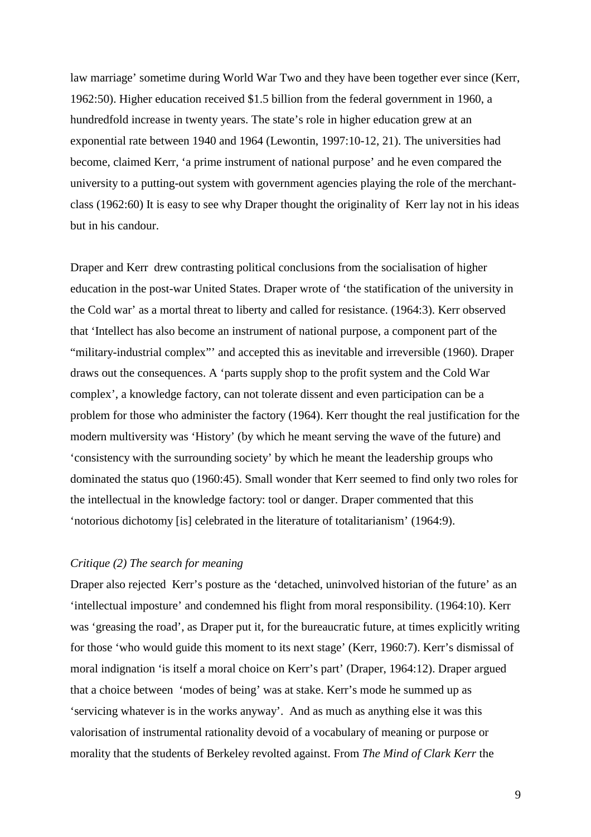law marriage' sometime during World War Two and they have been together ever since (Kerr, 1962:50). Higher education received \$1.5 billion from the federal government in 1960, a hundredfold increase in twenty years. The state's role in higher education grew at an exponential rate between 1940 and 1964 (Lewontin, 1997:10-12, 21). The universities had become, claimed Kerr, 'a prime instrument of national purpose' and he even compared the university to a putting-out system with government agencies playing the role of the merchantclass (1962:60) It is easy to see why Draper thought the originality of Kerr lay not in his ideas but in his candour.

Draper and Kerr drew contrasting political conclusions from the socialisation of higher education in the post-war United States. Draper wrote of 'the statification of the university in the Cold war' as a mortal threat to liberty and called for resistance. (1964:3). Kerr observed that 'Intellect has also become an instrument of national purpose, a component part of the "military-industrial complex"' and accepted this as inevitable and irreversible (1960). Draper draws out the consequences. A 'parts supply shop to the profit system and the Cold War complex', a knowledge factory, can not tolerate dissent and even participation can be a problem for those who administer the factory (1964). Kerr thought the real justification for the modern multiversity was 'History' (by which he meant serving the wave of the future) and 'consistency with the surrounding society' by which he meant the leadership groups who dominated the status quo (1960:45). Small wonder that Kerr seemed to find only two roles for the intellectual in the knowledge factory: tool or danger. Draper commented that this 'notorious dichotomy [is] celebrated in the literature of totalitarianism' (1964:9).

# *Critique (2) The search for meaning*

Draper also rejected Kerr's posture as the 'detached, uninvolved historian of the future' as an 'intellectual imposture' and condemned his flight from moral responsibility. (1964:10). Kerr was 'greasing the road', as Draper put it, for the bureaucratic future, at times explicitly writing for those 'who would guide this moment to its next stage' (Kerr, 1960:7). Kerr's dismissal of moral indignation 'is itself a moral choice on Kerr's part' (Draper, 1964:12). Draper argued that a choice between 'modes of being' was at stake. Kerr's mode he summed up as 'servicing whatever is in the works anyway'. And as much as anything else it was this valorisation of instrumental rationality devoid of a vocabulary of meaning or purpose or morality that the students of Berkeley revolted against. From *The Mind of Clark Kerr* the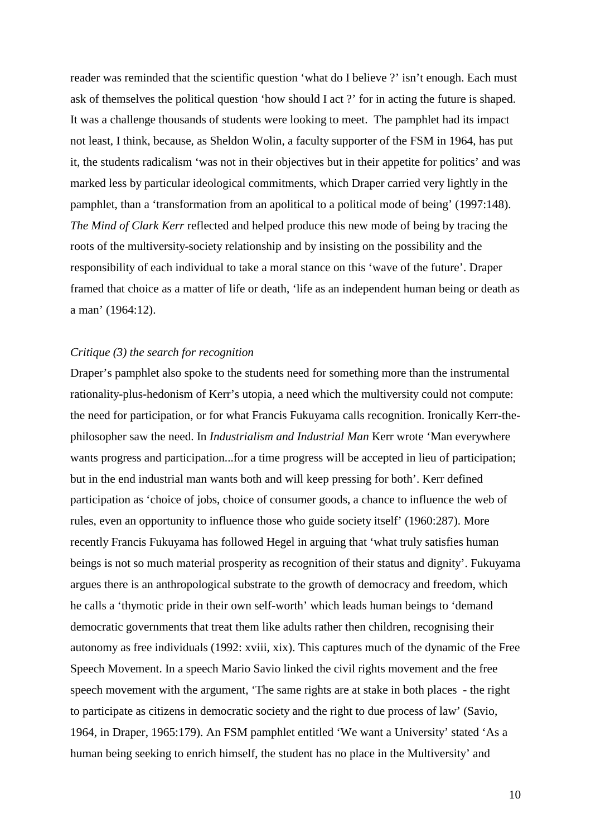reader was reminded that the scientific question 'what do I believe ?' isn't enough. Each must ask of themselves the political question 'how should I act ?' for in acting the future is shaped. It was a challenge thousands of students were looking to meet. The pamphlet had its impact not least, I think, because, as Sheldon Wolin, a faculty supporter of the FSM in 1964, has put it, the students radicalism 'was not in their objectives but in their appetite for politics' and was marked less by particular ideological commitments, which Draper carried very lightly in the pamphlet, than a 'transformation from an apolitical to a political mode of being' (1997:148). *The Mind of Clark Kerr* reflected and helped produce this new mode of being by tracing the roots of the multiversity-society relationship and by insisting on the possibility and the responsibility of each individual to take a moral stance on this 'wave of the future'. Draper framed that choice as a matter of life or death, 'life as an independent human being or death as a man' (1964:12).

## *Critique (3) the search for recognition*

Draper's pamphlet also spoke to the students need for something more than the instrumental rationality-plus-hedonism of Kerr's utopia, a need which the multiversity could not compute: the need for participation, or for what Francis Fukuyama calls recognition. Ironically Kerr-thephilosopher saw the need. In *Industrialism and Industrial Man* Kerr wrote 'Man everywhere wants progress and participation...for a time progress will be accepted in lieu of participation; but in the end industrial man wants both and will keep pressing for both'. Kerr defined participation as 'choice of jobs, choice of consumer goods, a chance to influence the web of rules, even an opportunity to influence those who guide society itself' (1960:287). More recently Francis Fukuyama has followed Hegel in arguing that 'what truly satisfies human beings is not so much material prosperity as recognition of their status and dignity'. Fukuyama argues there is an anthropological substrate to the growth of democracy and freedom, which he calls a 'thymotic pride in their own self-worth' which leads human beings to 'demand democratic governments that treat them like adults rather then children, recognising their autonomy as free individuals (1992: xviii, xix). This captures much of the dynamic of the Free Speech Movement. In a speech Mario Savio linked the civil rights movement and the free speech movement with the argument, 'The same rights are at stake in both places - the right to participate as citizens in democratic society and the right to due process of law' (Savio, 1964, in Draper, 1965:179). An FSM pamphlet entitled 'We want a University' stated 'As a human being seeking to enrich himself, the student has no place in the Multiversity' and

10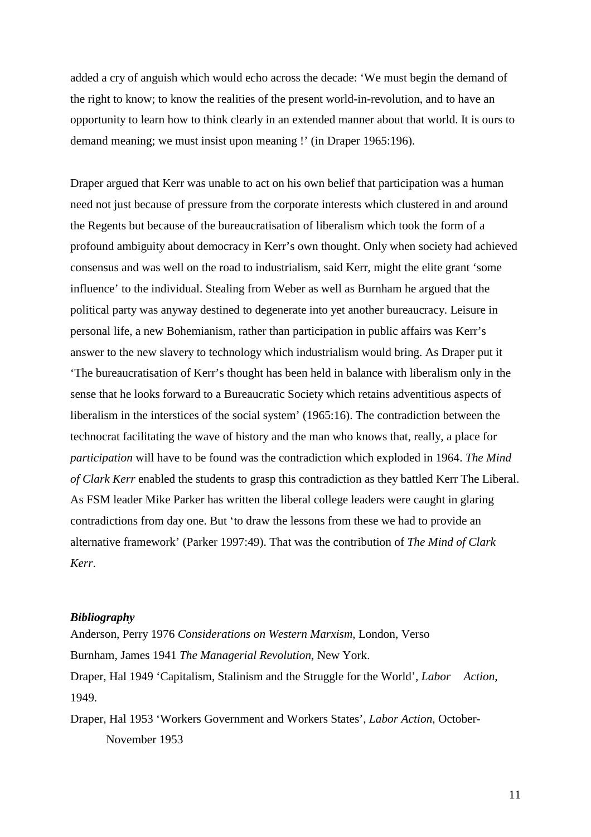added a cry of anguish which would echo across the decade: 'We must begin the demand of the right to know; to know the realities of the present world-in-revolution, and to have an opportunity to learn how to think clearly in an extended manner about that world. It is ours to demand meaning; we must insist upon meaning !' (in Draper 1965:196).

Draper argued that Kerr was unable to act on his own belief that participation was a human need not just because of pressure from the corporate interests which clustered in and around the Regents but because of the bureaucratisation of liberalism which took the form of a profound ambiguity about democracy in Kerr's own thought. Only when society had achieved consensus and was well on the road to industrialism, said Kerr, might the elite grant 'some influence' to the individual. Stealing from Weber as well as Burnham he argued that the political party was anyway destined to degenerate into yet another bureaucracy. Leisure in personal life, a new Bohemianism, rather than participation in public affairs was Kerr's answer to the new slavery to technology which industrialism would bring. As Draper put it 'The bureaucratisation of Kerr's thought has been held in balance with liberalism only in the sense that he looks forward to a Bureaucratic Society which retains adventitious aspects of liberalism in the interstices of the social system' (1965:16). The contradiction between the technocrat facilitating the wave of history and the man who knows that, really, a place for *participation* will have to be found was the contradiction which exploded in 1964. *The Mind of Clark Kerr* enabled the students to grasp this contradiction as they battled Kerr The Liberal. As FSM leader Mike Parker has written the liberal college leaders were caught in glaring contradictions from day one. But 'to draw the lessons from these we had to provide an alternative framework' (Parker 1997:49). That was the contribution of *The Mind of Clark Kerr*.

## *Bibliography*

Anderson, Perry 1976 *Considerations on Western Marxism*, London, Verso Burnham, James 1941 *The Managerial Revolution*, New York. Draper, Hal 1949 'Capitalism, Stalinism and the Struggle for the World', *Labor Action*, 1949.

Draper, Hal 1953 'Workers Government and Workers States', *Labor Action*, October-November 1953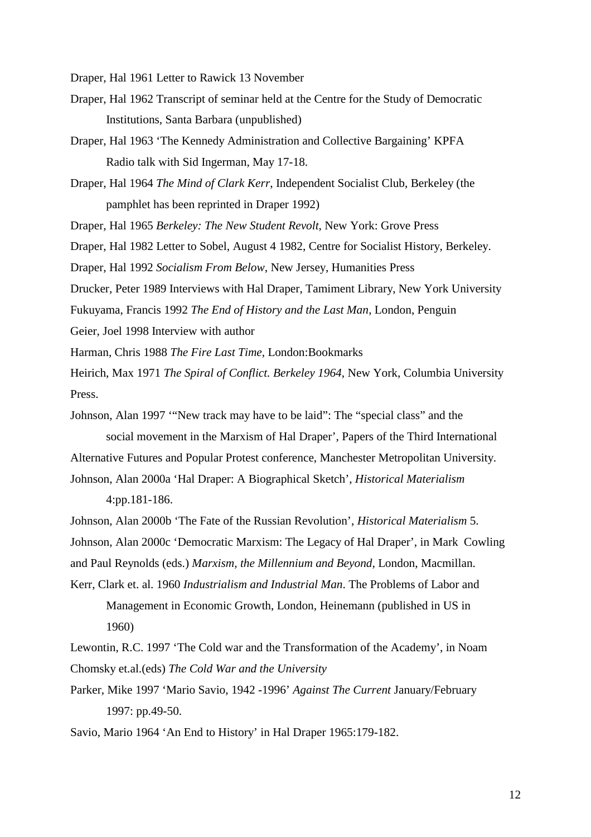Draper, Hal 1961 Letter to Rawick 13 November

- Draper, Hal 1962 Transcript of seminar held at the Centre for the Study of Democratic Institutions, Santa Barbara (unpublished)
- Draper, Hal 1963 'The Kennedy Administration and Collective Bargaining' KPFA Radio talk with Sid Ingerman, May 17-18.
- Draper, Hal 1964 *The Mind of Clark Kerr*, Independent Socialist Club, Berkeley (the pamphlet has been reprinted in Draper 1992)
- Draper, Hal 1965 *Berkeley: The New Student Revolt*, New York: Grove Press
- Draper, Hal 1982 Letter to Sobel, August 4 1982, Centre for Socialist History, Berkeley.
- Draper, Hal 1992 *Socialism From Below*, New Jersey, Humanities Press
- Drucker, Peter 1989 Interviews with Hal Draper, Tamiment Library, New York University Fukuyama, Francis 1992 *The End of History and the Last Man*, London, Penguin
- Geier, Joel 1998 Interview with author
- Harman, Chris 1988 *The Fire Last Time*, London:Bookmarks
- Heirich, Max 1971 *The Spiral of Conflict. Berkeley 1964*, New York, Columbia University Press.
- Johnson, Alan 1997 '"New track may have to be laid": The "special class" and the social movement in the Marxism of Hal Draper', Papers of the Third International
- Alternative Futures and Popular Protest conference, Manchester Metropolitan University.
- Johnson, Alan 2000a 'Hal Draper: A Biographical Sketch', *Historical Materialism* 4:pp.181-186.
- Johnson, Alan 2000b 'The Fate of the Russian Revolution', *Historical Materialism* 5.
- Johnson, Alan 2000c 'Democratic Marxism: The Legacy of Hal Draper', in Mark Cowling
- and Paul Reynolds (eds.) *Marxism, the Millennium and Beyond*, London, Macmillan.
- Kerr, Clark et. al. 1960 *Industrialism and Industrial Man*. The Problems of Labor and Management in Economic Growth, London, Heinemann (published in US in 1960)
- Lewontin, R.C. 1997 'The Cold war and the Transformation of the Academy', in Noam Chomsky et.al.(eds) *The Cold War and the University*
- Parker, Mike 1997 'Mario Savio, 1942 -1996' *Against The Current* January/February 1997: pp.49-50.
- Savio, Mario 1964 'An End to History' in Hal Draper 1965:179-182.